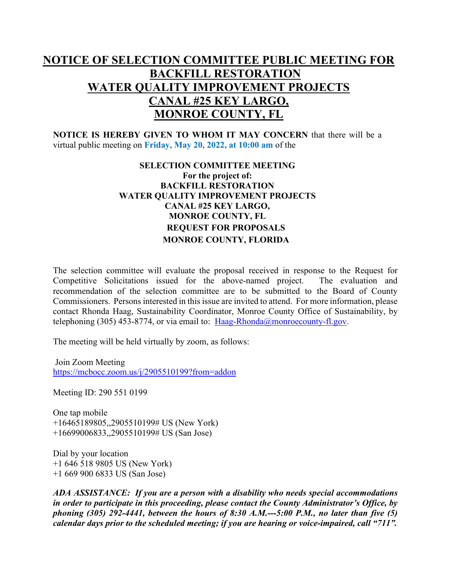## **NOTICE OF SELECTION COMMITTEE PUBLIC MEETING FOR BACKFILL RESTORATION WATER QUALITY IMPROVEMENT PROJECTS CANAL #25 KEY LARGO, MONROE COUNTY, FL**

**NOTICE IS HEREBY GIVEN TO WHOM IT MAY CONCERN** that there will be a virtual public meeting on **Friday, May 20, 2022, at 10:00 am** of the

## **SELECTION COMMITTEE MEETING For the project of: BACKFILL RESTORATION WATER QUALITY IMPROVEMENT PROJECTS CANAL #25 KEY LARGO, MONROE COUNTY, FL REQUEST FOR PROPOSALS MONROE COUNTY, FLORIDA**

The selection committee will evaluate the proposal received in response to the Request for Competitive Solicitations issued for the above-named project. The evaluation and recommendation of the selection committee are to be submitted to the Board of County Commissioners. Persons interested in this issue are invited to attend. For more information, please contact Rhonda Haag, Sustainability Coordinator, Monroe County Office of Sustainability, by telephoning (305) 453-8774, or via email to:  $Haag-Rhonda@monroecounty-fl.gov$ .

The meeting will be held virtually by zoom, as follows:

Join Zoom Meeting <https://mcbocc.zoom.us/j/2905510199?from=addon>

Meeting ID: 290 551 0199

One tap mobile +16465189805,,2905510199# US (New York) +16699006833,,2905510199# US (San Jose)

Dial by your location +1 646 518 9805 US (New York) +1 669 900 6833 US (San Jose)

*ADA ASSISTANCE: If you are a person with a disability who needs special accommodations in order to participate in this proceeding, please contact the County Administrator's Office, by phoning (305) 292-4441, between the hours of 8:30 A.M.---5:00 P.M., no later than five (5) calendar days prior to the scheduled meeting; if you are hearing or voice-impaired, call "711".*